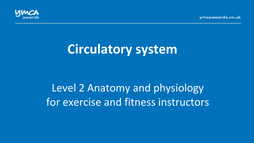vmcaawards.co.uk



# **Circulatory system**

# Level 2 Anatomy and physiology for exercise and fitness instructors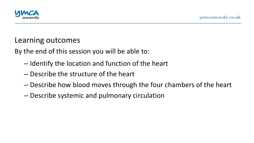

#### Learning outcomes

By the end of this session you will be able to:

- $-$  Identify the location and function of the heart
- $-$  Describe the structure of the heart
- $-$  Describe how blood moves through the four chambers of the heart
- Describe systemic and pulmonary circulation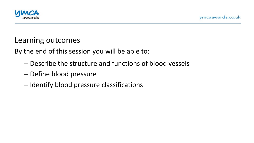

#### Learning outcomes

By the end of this session you will be able to:

- Describe the structure and functions of blood vessels
- Define blood pressure
- Identify blood pressure classifications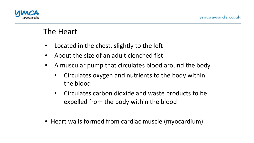

- Located in the chest, slightly to the left
- About the size of an adult clenched fist
- A muscular pump that circulates blood around the body
	- Circulates oxygen and nutrients to the body within the blood
	- Circulates carbon dioxide and waste products to be expelled from the body within the blood
- Heart walls formed from cardiac muscle (myocardium)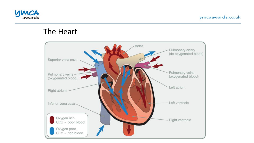

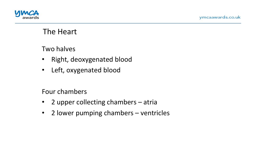



Two halves

- Right, deoxygenated blood
- Left, oxygenated blood

Four chambers

- 2 upper collecting chambers atria
- 2 lower pumping chambers ventricles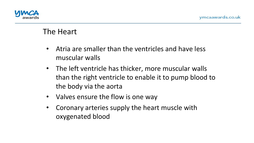

- Atria are smaller than the ventricles and have less muscular walls
- The left ventricle has thicker, more muscular walls than the right ventricle to enable it to pump blood to the body via the aorta
- Valves ensure the flow is one way
- Coronary arteries supply the heart muscle with oxygenated blood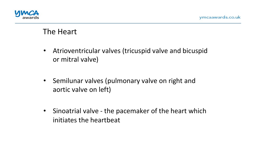

- Atrioventricular valves (tricuspid valve and bicuspid or mitral valve)
- Semilunar valves (pulmonary valve on right and aortic valve on left)
- Sinoatrial valve the pacemaker of the heart which initiates the heartbeat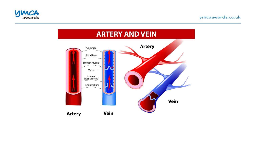

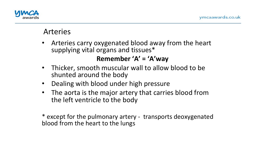

# Arteries

- Arteries carry oxygenated blood away from the heart supplying vital organs and tissues\* **Remember 'A' = 'A'way**
- Thicker, smooth muscular wall to allow blood to be shunted around the body
- Dealing with blood under high pressure
- The aorta is the major artery that carries blood from the left ventricle to the body

\* except for the pulmonary artery - transports deoxygenated blood from the heart to the lungs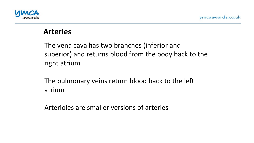

#### **Arteries**

The vena cava has two branches (inferior and superior) and returns blood from the body back to the right atrium

The pulmonary veins return blood back to the left atrium 

Arterioles are smaller versions of arteries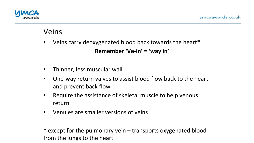

# Veins

- Veins carry deoxygenated blood back towards the heart\* Remember 'Ve-in' = 'way in'
- Thinner, less muscular wall
- One-way return valves to assist blood flow back to the heart and prevent back flow
- Require the assistance of skeletal muscle to help venous return
- Venules are smaller versions of veins

\* except for the pulmonary vein - transports oxygenated blood from the lungs to the heart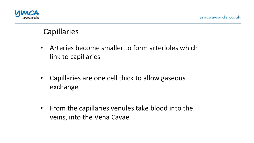

# **Capillaries**

- Arteries become smaller to form arterioles which link to capillaries
- Capillaries are one cell thick to allow gaseous exchange
- From the capillaries venules take blood into the veins, into the Vena Cavae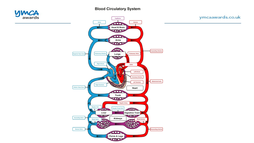#### **Blood Circulatory System**



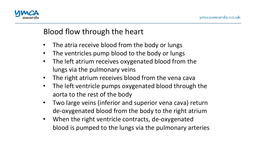

# Blood flow through the heart

- The atria receive blood from the body or lungs
- The ventricles pump blood to the body or lungs
- The left atrium receives oxygenated blood from the lungs via the pulmonary veins
- The right atrium receives blood from the vena cava
- The left ventricle pumps oxygenated blood through the aorta to the rest of the body
- Two large veins (inferior and superior vena cava) return de-oxygenated blood from the body to the right atrium
- When the right ventricle contracts, de-oxygenated blood is pumped to the lungs via the pulmonary arteries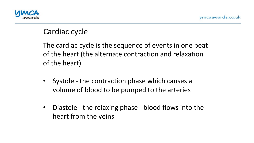

# Cardiac cycle

The cardiac cycle is the sequence of events in one beat of the heart (the alternate contraction and relaxation of the heart)

- Systole the contraction phase which causes a volume of blood to be pumped to the arteries
- Diastole the relaxing phase blood flows into the heart from the veins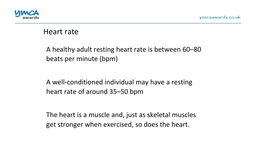

### Heart rate

A healthy adult resting heart rate is between 60–80 beats per minute (bpm)

A well-conditioned individual may have a resting heart rate of around 35–50 bpm

The heart is a muscle and, just as skeletal muscles get stronger when exercised, so does the heart.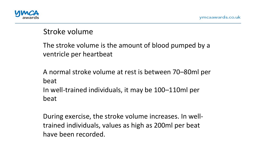

# Stroke volume

The stroke volume is the amount of blood pumped by a ventricle per heartbeat

A normal stroke volume at rest is between 70–80ml per beat In well-trained individuals, it may be 100–110ml per beat 

During exercise, the stroke volume increases. In welltrained individuals, values as high as 200ml per beat have been recorded.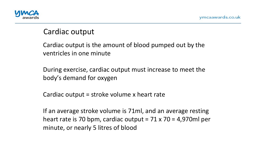

# Cardiac output

Cardiac output is the amount of blood pumped out by the ventricles in one minute

During exercise, cardiac output must increase to meet the body's demand for oxygen

Cardiac output  $=$  stroke volume x heart rate

If an average stroke volume is 71ml, and an average resting heart rate is 70 bpm, cardiac output =  $71 \times 70 = 4,970$ ml per minute, or nearly 5 litres of blood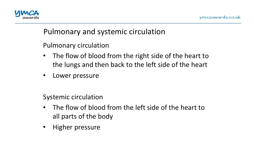

# Pulmonary and systemic circulation

Pulmonary circulation 

- The flow of blood from the right side of the heart to the lungs and then back to the left side of the heart
- Lower pressure

Systemic circulation

- The flow of blood from the left side of the heart to all parts of the body
- Higher pressure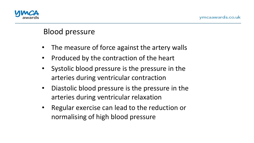

# Blood pressure

- The measure of force against the artery walls
- Produced by the contraction of the heart
- Systolic blood pressure is the pressure in the arteries during ventricular contraction
- Diastolic blood pressure is the pressure in the arteries during ventricular relaxation
- Regular exercise can lead to the reduction or normalising of high blood pressure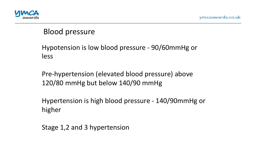

# Blood pressure

#### Hypotension is low blood pressure - 90/60mmHg or less

Pre-hypertension (elevated blood pressure) above 120/80 mmHg but below 140/90 mmHg

Hypertension is high blood pressure - 140/90mmHg or higher

Stage 1,2 and 3 hypertension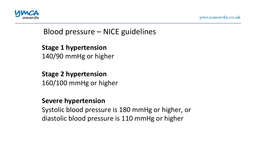



# Blood pressure  $-$  NICE guidelines

**Stage 1 hypertension** 140/90 mmHg or higher

#### **Stage 2 hypertension**

160/100 mmHg or higher

#### **Severe hypertension**

Systolic blood pressure is 180 mmHg or higher, or diastolic blood pressure is 110 mmHg or higher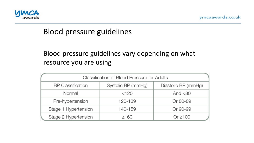

### Blood pressure guidelines

#### Blood pressure guidelines vary depending on what resource you are using

| <b>Classification of Blood Pressure for Adults</b> |                    |                     |
|----------------------------------------------------|--------------------|---------------------|
| <b>BP</b> Classification                           | Systolic BP (mmHg) | Diastolic BP (mmHg) |
| Normal                                             | $<$ 120            | And $< 80$          |
| Pre-hypertension                                   | 120-139            | Or 80-89            |
| Stage 1 Hypertension                               | 140-159            | Or 90-99            |
| Stage 2 Hypertension                               | >160               | Or $\geq 100$       |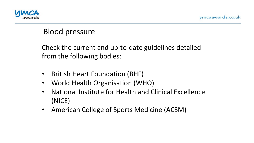

# Blood pressure

Check the current and up-to-date guidelines detailed from the following bodies:

- British Heart Foundation (BHF)
- World Health Organisation (WHO)
- National Institute for Health and Clinical Excellence (NICE)
- American College of Sports Medicine (ACSM)